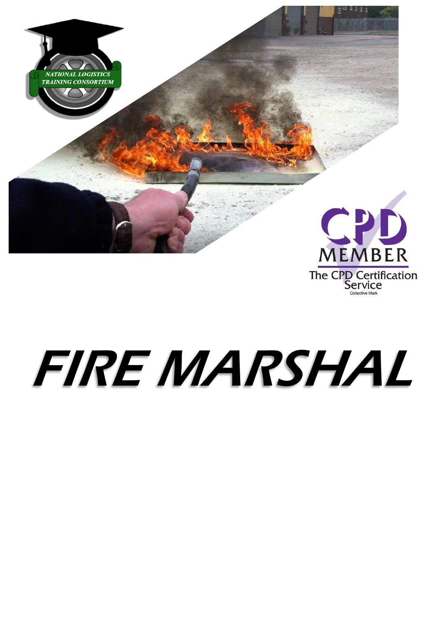

# FIRE MARSHAL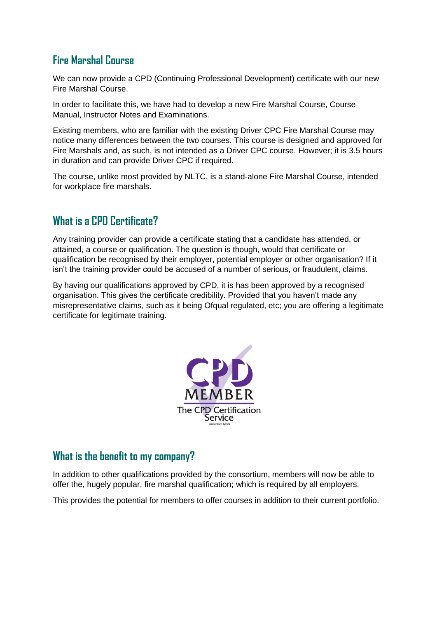## **Fire Marshal Course**

We can now provide a CPD (Continuing Professional Development) certificate with our new Fire Marshal Course.

In order to facilitate this, we have had to develop a new Fire Marshal Course, Course Manual, Instructor Notes and Examinations.

Existing members, who are familiar with the existing Driver CPC Fire Marshal Course may notice many differences between the two courses. This course is designed and approved for Fire Marshals and, as such, is not intended as a Driver CPC course. However; it is 3.5 hours in duration and can provide Driver CPC if required.

The course, unlike most provided by NLTC, is a stand-alone Fire Marshal Course, intended for workplace fire marshals.

## **What is a CPD Certificate?**

Any training provider can provide a certificate stating that a candidate has attended, or attained, a course or qualification. The question is though, would that certificate or qualification be recognised by their employer, potential employer or other organisation? If it isn't the training provider could be accused of a number of serious, or fraudulent, claims.

By having our qualifications approved by CPD, it is has been approved by a recognised organisation. This gives the certificate credibility. Provided that you haven't made any misrepresentative claims, such as it being Ofqual regulated, etc; you are offering a legitimate certificate for legitimate training.



#### **What is the benefit to my company?**

In addition to other qualifications provided by the consortium, members will now be able to offer the, hugely popular, fire marshal qualification; which is required by all employers.

This provides the potential for members to offer courses in addition to their current portfolio.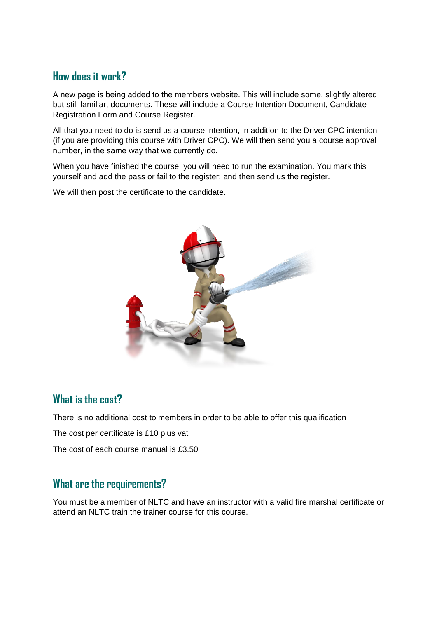### **How does it work?**

A new page is being added to the members website. This will include some, slightly altered but still familiar, documents. These will include a Course Intention Document, Candidate Registration Form and Course Register.

All that you need to do is send us a course intention, in addition to the Driver CPC intention (if you are providing this course with Driver CPC). We will then send you a course approval number, in the same way that we currently do.

When you have finished the course, you will need to run the examination. You mark this yourself and add the pass or fail to the register; and then send us the register.

We will then post the certificate to the candidate.



#### **What is the cost?**

There is no additional cost to members in order to be able to offer this qualification

The cost per certificate is £10 plus vat

The cost of each course manual is £3.50

#### **What are the requirements?**

You must be a member of NLTC and have an instructor with a valid fire marshal certificate or attend an NLTC train the trainer course for this course.